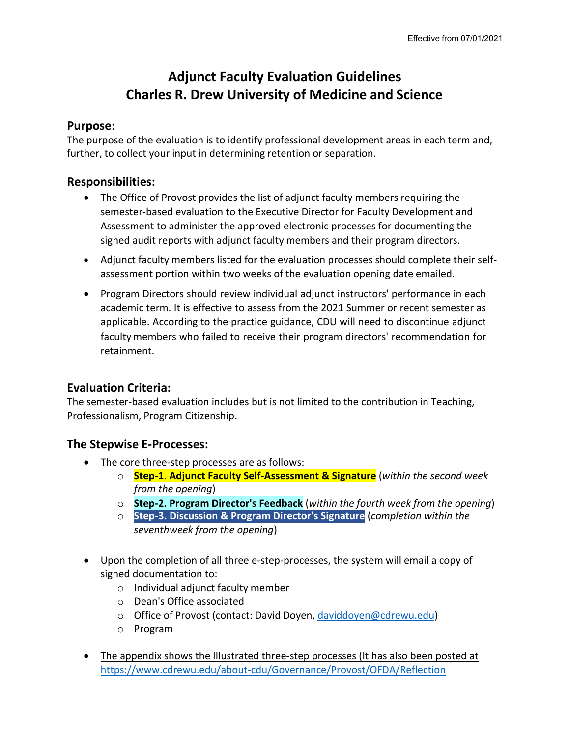# **Adjunct Faculty Evaluation Guidelines Charles R. Drew University of Medicine and Science**

#### **Purpose:**

The purpose of the evaluation is to identify professional development areas in each term and, further, to collect your input in determining retention or separation.

### **Responsibilities:**

- The Office of Provost provides the list of adjunct faculty members requiring the semester-based evaluation to the Executive Director for Faculty Development and Assessment to administer the approved electronic processes for documenting the signed audit reports with adjunct faculty members and their program directors.
- Adjunct faculty members listed for the evaluation processes should complete their selfassessment portion within two weeks of the evaluation opening date emailed.
- Program Directors should review individual adjunct instructors' performance in each academic term. It is effective to assess from the 2021 Summer or recent semester as applicable. According to the practice guidance, CDU will need to discontinue adjunct faculty members who failed to receive their program directors' recommendation for retainment.

# **Evaluation Criteria:**

The semester-based evaluation includes but is not limited to the contribution in Teaching, Professionalism, Program Citizenship.

# **The Stepwise E-Processes:**

- The core three-step processes are as follows:
	- o **Step-1**. **Adjunct Faculty Self-Assessment & Signature** (*within the second week from the opening*)
	- o **Step-2. Program Director's Feedback** (*within the fourth week from the opening*)
	- o **Step-3. Discussion & Program Director's Signature** (*completion within the seventhweek from the opening*)
- Upon the completion of all three e-step-processes, the system will email a copy of signed documentation to:
	- o Individual adjunct faculty member
	- o Dean's Office associated
	- o Office of Provost (contact: David Doyen, [daviddoyen@cdrewu.edu\)](mailto:daviddoyen@cdrewu.edu)
	- o Program
- The appendix shows the Illustrated three-step processes (It has also been posted at <https://www.cdrewu.edu/about-cdu/Governance/Provost/OFDA/Reflection>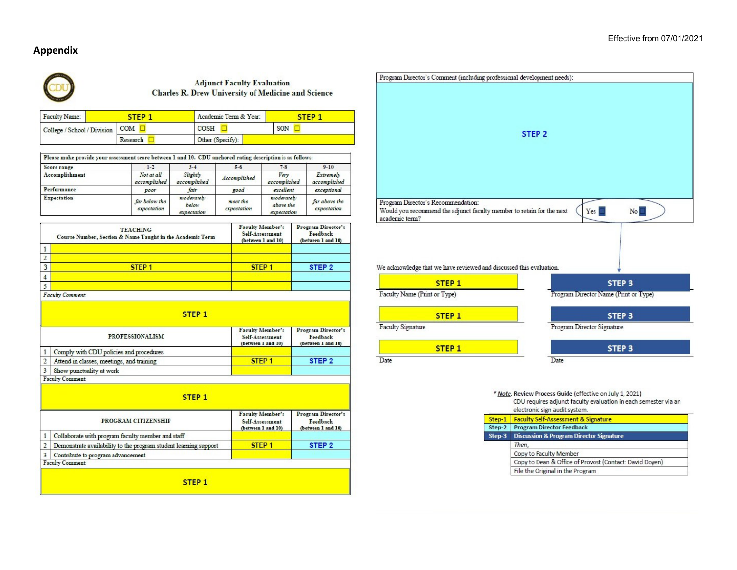#### **Appendix**



#### **Adjunct Faculty Evaluation** Charles R. Drew University of Medicine and Science

| Faculty Name:                   | STEP <sub>1</sub> | Academic Term & Year: |  |     | STEP <sub>1</sub> |
|---------------------------------|-------------------|-----------------------|--|-----|-------------------|
| College / School / Division COM |                   | <b>COSH</b>           |  | SON |                   |
|                                 | Research          | Other (Specify):      |  |     |                   |

| Please make provide your assessment score between 1 and 10. CDU anchored rating description is as follows: |                              |                                    |                         |                                        |                              |
|------------------------------------------------------------------------------------------------------------|------------------------------|------------------------------------|-------------------------|----------------------------------------|------------------------------|
| Score range                                                                                                | $1-2$                        | $3 - 4$                            | $5 - 6$                 | $7 - 8$                                | $9 - 10$                     |
| Accomplishment                                                                                             | Not at all<br>accomplished   | Slightly<br>accomplished           | Accomplished            | Very<br>accomplished                   | Extremely<br>accomplished    |
| Performance                                                                                                | poor                         | fair                               | good                    | excellent                              | exceptional                  |
| <b>Expectation</b>                                                                                         | far below the<br>expectation | moderately<br>below<br>expectation | meet the<br>expectation | moderately<br>above the<br>expectation | far above the<br>expectation |

|   | <b>TEACHING</b><br>Course Number, Section & Name Taught in the Academic Term | <b>Faculty Member's</b><br>Self-Assessment<br>(between 1 and 10) | Program Director's<br>Feedback<br>(between 1 and 10) |
|---|------------------------------------------------------------------------------|------------------------------------------------------------------|------------------------------------------------------|
|   |                                                                              |                                                                  |                                                      |
|   |                                                                              |                                                                  |                                                      |
| 3 | STEP <sub>1</sub>                                                            | STEP <sub>1</sub>                                                | STEP <sub>2</sub>                                    |
|   |                                                                              |                                                                  |                                                      |
|   |                                                                              |                                                                  |                                                      |
|   | Faculty Comment:                                                             |                                                                  |                                                      |

|                | STEP <sub>1</sub>                         |                                                                  |                                                      |  |
|----------------|-------------------------------------------|------------------------------------------------------------------|------------------------------------------------------|--|
|                | <b>PROFESSIONALISM</b>                    | <b>Faculty Member's</b><br>Self-Assessment<br>(between 1 and 10) | Program Director's<br>Feedback<br>(between 1 and 10) |  |
| 1 <sup>1</sup> | Comply with CDU policies and procedures   |                                                                  |                                                      |  |
| 2 <sup>1</sup> | Attend in classes, meetings, and training | STEP <sub>1</sub>                                                | STEP <sub>2</sub>                                    |  |
| 3 <sup>1</sup> | Show punctuality at work                  |                                                                  |                                                      |  |
|                | <b>Faculty Comment:</b>                   |                                                                  |                                                      |  |

| STEP <sub>1</sub>                                                |                                                                  |                                                      |
|------------------------------------------------------------------|------------------------------------------------------------------|------------------------------------------------------|
| PROGRAM CITIZENSHIP                                              | <b>Faculty Member's</b><br>Self-Assessment<br>(between 1 and 10) | Program Director's<br>Feedback<br>(between 1 and 10) |
| Collaborate with program faculty member and staff                |                                                                  |                                                      |
| Demonstrate availability to the program student learning support | STEP <sub>1</sub>                                                | STEP <sub>2</sub>                                    |
| Contribute to program advancement                                |                                                                  |                                                      |
| Faculty Comment:                                                 |                                                                  |                                                      |
|                                                                  |                                                                  |                                                      |
| STEP <sub>1</sub>                                                |                                                                  |                                                      |



#### \* Note. Review Process Guide (effective on July 1, 2021) CDU requires adjunct faculty evaluation in each semester via an

|        | electronic sign audit system.                           |  |
|--------|---------------------------------------------------------|--|
| Step-1 | <b>Faculty Self-Assessment &amp; Signature</b>          |  |
| Step-2 | <b>Program Director Feedback</b>                        |  |
| Step-3 | <b>Discussion &amp; Program Director Signature</b>      |  |
|        | Then.                                                   |  |
|        | Copy to Faculty Member                                  |  |
|        | Copy to Dean & Office of Provost (Contact: David Doyen) |  |
|        | File the Original in the Program                        |  |